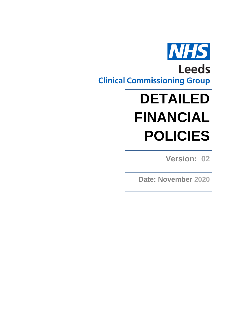

# **DETAILED FINANCIAL POLICIES**

**Version: 02**

**Date: November 2020**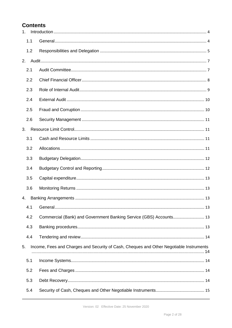# **Contents**

| 1 <sub>1</sub> |                                                                                         |  |  |
|----------------|-----------------------------------------------------------------------------------------|--|--|
| 1.1            |                                                                                         |  |  |
| 1.2            |                                                                                         |  |  |
| 2.             |                                                                                         |  |  |
| 2.1            |                                                                                         |  |  |
| 2.2            |                                                                                         |  |  |
| 2.3            |                                                                                         |  |  |
| 2.4            |                                                                                         |  |  |
| 2.5            |                                                                                         |  |  |
| 2.6            |                                                                                         |  |  |
| 3.             |                                                                                         |  |  |
| 3.1            |                                                                                         |  |  |
| 3.2            |                                                                                         |  |  |
| 3.3            |                                                                                         |  |  |
| 3.4            |                                                                                         |  |  |
| 3.5            |                                                                                         |  |  |
| 3.6            |                                                                                         |  |  |
| 4.             |                                                                                         |  |  |
| 4.1            |                                                                                         |  |  |
| 4.2            | Commercial (Bank) and Government Banking Service (GBS) Accounts 13                      |  |  |
| 4.3            |                                                                                         |  |  |
| 4.4            |                                                                                         |  |  |
| 5.             | Income, Fees and Charges and Security of Cash, Cheques and Other Negotiable Instruments |  |  |
| 5.1            |                                                                                         |  |  |
| 5.2            |                                                                                         |  |  |
| 5.3            |                                                                                         |  |  |
| 5.4            |                                                                                         |  |  |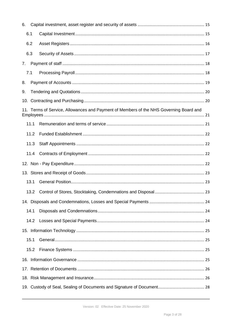| 6.   |                                                                                        |  |  |  |
|------|----------------------------------------------------------------------------------------|--|--|--|
| 6.1  |                                                                                        |  |  |  |
| 6.2  |                                                                                        |  |  |  |
| 6.3  |                                                                                        |  |  |  |
| 7.   |                                                                                        |  |  |  |
| 7.1  |                                                                                        |  |  |  |
| 8.   |                                                                                        |  |  |  |
| 9.   |                                                                                        |  |  |  |
|      |                                                                                        |  |  |  |
|      | 11. Terms of Service, Allowances and Payment of Members of the NHS Governing Board and |  |  |  |
|      | 11.1                                                                                   |  |  |  |
|      | 11.2                                                                                   |  |  |  |
|      | 11.3                                                                                   |  |  |  |
|      | 11.4                                                                                   |  |  |  |
|      |                                                                                        |  |  |  |
|      |                                                                                        |  |  |  |
| 13.1 |                                                                                        |  |  |  |
|      | 13.2                                                                                   |  |  |  |
|      |                                                                                        |  |  |  |
| 14.1 |                                                                                        |  |  |  |
|      | 14.2                                                                                   |  |  |  |
|      |                                                                                        |  |  |  |
| 15.1 |                                                                                        |  |  |  |
|      | 15.2                                                                                   |  |  |  |
|      |                                                                                        |  |  |  |
|      |                                                                                        |  |  |  |
|      |                                                                                        |  |  |  |
|      |                                                                                        |  |  |  |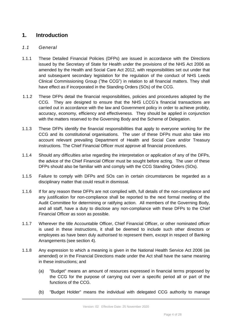# <span id="page-3-0"></span>**1. Introduction**

### <span id="page-3-1"></span>*1.1 General*

- 1.1.1 These Detailed Financial Policies (DFPs) are issued in accordance with the Directions issued by the Secretary of State for Health under the provisions of the NHS Act 2006 as amended by the Health and Social Care Act 2012, with responsibilities set out under that and subsequent secondary legislation for the regulation of the conduct of NHS Leeds Clinical Commissioning Group ("the CCG") in relation to all financial matters. They shall have effect as if incorporated in the Standing Orders (SOs) of the CCG.
- 1.1.2 These DFPs detail the financial responsibilities, policies and procedures adopted by the CCG. They are designed to ensure that the NHS LCCG's financial transactions are carried out in accordance with the law and Government policy in order to achieve probity, accuracy, economy, efficiency and effectiveness. They should be applied in conjunction with the matters reserved to the Governing Body and the Scheme of Delegation.
- 1.1.3 These DFPs identify the financial responsibilities that apply to everyone working for the CCG and its constitutional organisations. The user of these DFPs must also take into account relevant prevailing Department of Health and Social Care and/or Treasury instructions. The Chief Financial Officer must approve all financial procedures.
- 1.1.4 Should any difficulties arise regarding the interpretation or application of any of the DFPs, the advice of the Chief Financial Officer must be sought before acting. The user of these DFPs should also be familiar with and comply with the CCG Standing Orders (SOs).
- 1.1.5 Failure to comply with DFPs and SOs can in certain circumstances be regarded as a disciplinary matter that could result in dismissal.
- 1.1.6 If for any reason these DFPs are not complied with, full details of the non-compliance and any justification for non-compliance shall be reported to the next formal meeting of the Audit Committee for determining or ratifying action. All members of the Governing Body, and all staff, have a duty to disclose any non-compliance with these DFPs to the Chief Financial Officer as soon as possible.
- 1.1.7 Wherever the title Accountable Officer, Chief Financial Officer, or other nominated officer is used in these instructions, it shall be deemed to include such other directors or employees as have been duly authorised to represent them, except in respect of Banking Arrangements (see section 4).
- 1.1.8 Any expression to which a meaning is given in the National Health Service Act 2006 (as amended) or in the Financial Directions made under the Act shall have the same meaning in these instructions; and
	- (a) "Budget" means an amount of resources expressed in financial terms proposed by the CCG for the purpose of carrying out over a specific period all or part of the functions of the CCG.
	- (b) "Budget Holder" means the individual with delegated CCG authority to manage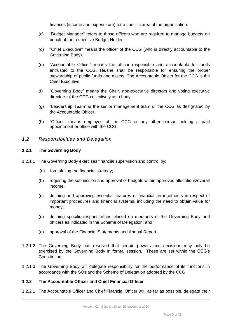finances (income and expenditure) for a specific area of the organisation.

- (c) "Budget Manager" refers to those officers who are required to manage budgets on behalf of the respective Budget Holder.
- (d) "Chief Executive" means the officer of the CCG (who is directly accountable to the Governing Body).
- (e) "Accountable Officer" means the officer responsible and accountable for funds entrusted to the CCG. He/she shall be responsible for ensuring the proper stewardship of public funds and assets. The Accountable Officer for the CCG is the Chief Executive.
- (f) "Governing Body" means the Chair, non-executive directors and voting executive directors of the CCG collectively as a body.
- (g) "Leadership Team" is the senior management team of the CCG as designated by the Accountable Officer.
- (h) "Officer" means employee of the CCG or any other person holding a paid appointment or office with the CCG.
- <span id="page-4-0"></span>*1.2 Responsibilities and Delegation*

#### **1.2.1 The Governing Body**

- 1.2.1.1 The Governing Body exercises financial supervision and control by:
	- (a) formulating the financial strategy;
	- (b) requiring the submission and approval of budgets within approved allocations/overall income;
	- (c) defining and approving essential features of financial arrangements in respect of important procedures and financial systems, including the need to obtain value for money;
	- (d) defining specific responsibilities placed on members of the Governing Body and officers as indicated in the Scheme of Delegation; and
	- (e) approval of the Financial Statements and Annual Report.
- 1.2.1.2 The Governing Body has resolved that certain powers and decisions may only be exercised by the Governing Body in formal session. These are set within the CCG's Constitution.
- 1.2.1.3 The Governing Body will delegate responsibility for the performance of its functions in accordance with the SOs and the Scheme of Delegation adopted by the CCG.

#### **1.2.2 The Accountable Officer and Chief Financial Officer**

1.2.2.1 The Accountable Officer and Chief Financial Officer will, as far as possible, delegate their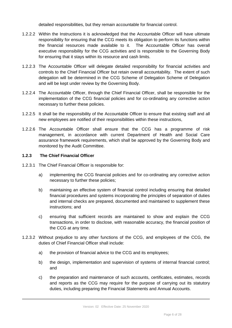detailed responsibilities, but they remain accountable for financial control.

- 1.2.2.2 Within the Instructions it is acknowledged that the Accountable Officer will have ultimate responsibility for ensuring that the CCG meets its obligation to perform its functions within the financial resources made available to it. The Accountable Officer has overall executive responsibility for the CCG activities and is responsible to the Governing Body for ensuring that it stays within its resource and cash limits.
- 1.2.2.3 The Accountable Officer will delegate detailed responsibility for financial activities and controls to the Chief Financial Officer but retain overall accountability. The extent of such delegation will be determined in the CCG Scheme of Delegation Scheme of Delegation and will be kept under review by the Governing Body.
- 1.2.2.4 The Accountable Officer, through the Chief Financial Officer, shall be responsible for the implementation of the CCG financial policies and for co-ordinating any corrective action necessary to further these policies.
- 1.2.2.5 It shall be the responsibility of the Accountable Officer to ensure that existing staff and all new employees are notified of their responsibilities within these instructions,
- 1.2.2.6 The Accountable Officer shall ensure that the CCG has a programme of risk management, in accordance with current Department of Health and Social Care assurance framework requirements, which shall be approved by the Governing Body and monitored by the Audit Committee.

#### **1.2.3 The Chief Financial Officer**

- 1.2.3.1 The Chief Financial Officer is responsible for:
	- a) implementing the CCG financial policies and for co-ordinating any corrective action necessary to further these policies;
	- b) maintaining an effective system of financial control including ensuring that detailed financial procedures and systems incorporating the principles of separation of duties and internal checks are prepared, documented and maintained to supplement these instructions; and
	- c) ensuring that sufficient records are maintained to show and explain the CCG transactions, in order to disclose, with reasonable accuracy, the financial position of the CCG at any time.
- 1.2.3.2 Without prejudice to any other functions of the CCG, and employees of the CCG, the duties of Chief Financial Officer shall include:
	- a) the provision of financial advice to the CCG and its employees;
	- b) the design, implementation and supervision of systems of internal financial control; and
	- c) the preparation and maintenance of such accounts, certificates, estimates, records and reports as the CCG may require for the purpose of carrying out its statutory duties, including preparing the Financial Statements and Annual Accounts.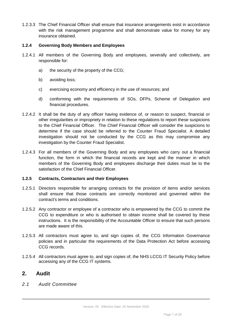1.2.3.3 The Chief Financial Officer shall ensure that insurance arrangements exist in accordance with the risk management programme and shall demonstrate value for money for any insurance obtained.

#### **1.2.4 Governing Body Members and Employees**

- 1.2.4.1 All members of the Governing Body and employees, severally and collectively, are responsible for:
	- a) the security of the property of the CCG;
	- b) avoiding loss;
	- c) exercising economy and efficiency in the use of resources; and
	- d) conforming with the requirements of SOs, DFPs, Scheme of Delegation and financial procedures.
- 1.2.4.2 It shall be the duty of any officer having evidence of, or reason to suspect, financial or other irregularities or impropriety in relation to these regulations to report these suspicions to the Chief Financial Officer. The Chief Financial Officer will consider the suspicions to determine if the case should be referred to the Counter Fraud Specialist. A detailed investigation should not be conducted by the CCG as this may compromise any investigation by the Counter Fraud Specialist.
- 1.2.4.3 For all members of the Governing Body and any employees who carry out a financial function, the form in which the financial records are kept and the manner in which members of the Governing Body and employees discharge their duties must be to the satisfaction of the Chief Financial Officer.

#### **1.2.5 Contracts, Contractors and their Employees**

- 1.2.5.1 Directors responsible for arranging contracts for the provision of items and/or services shall ensure that those contracts are correctly monitored and governed within the contract's terms and conditions.
- 1.2.5.2 Any contractor or employee of a contractor who is empowered by the CCG to commit the CCG to expenditure or who is authorised to obtain income shall be covered by these instructions. It is the responsibility of the Accountable Officer to ensure that such persons are made aware of this.
- 1.2.5.3 All contractors must agree to, and sign copies of, the CCG Information Governance policies and in particular the requirements of the Data Protection Act before accessing CCG records.
- 1.2.5.4 All contractors must agree to, and sign copies of, the NHS LCCG IT Security Policy before accessing any of the CCG IT systems.

## <span id="page-6-0"></span>**2. Audit**

<span id="page-6-1"></span>*2.1 Audit Committee*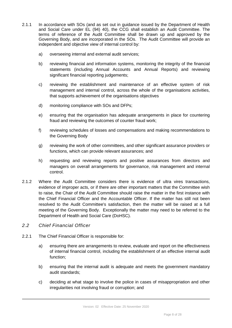- 2.1.1 In accordance with SOs (and as set out in guidance issued by the Department of Health and Social Care under EL (94) 40), the CCG shall establish an Audit Committee. The terms of reference of the Audit Committee shall be drawn up and approved by the Governing Body, and are incorporated in the SOs. The Audit Committee will provide an independent and objective view of internal control by:
	- a) overseeing internal and external audit services;
	- b) reviewing financial and information systems, monitoring the integrity of the financial statements (including Annual Accounts and Annual Reports) and reviewing significant financial reporting judgements;
	- c) reviewing the establishment and maintenance of an effective system of risk management and internal control, across the whole of the organisations activities, that supports achievement of the organisations objectives
	- d) monitoring compliance with SOs and DFPs;
	- e) ensuring that the organisation has adequate arrangements in place for countering fraud and reviewing the outcomes of counter fraud work;
	- f) reviewing schedules of losses and compensations and making recommendations to the Governing Body
	- g) reviewing the work of other committees, and other significant assurance providers or functions, which can provide relevant assurances; and
	- h) requesting and reviewing reports and positive assurances from directors and managers on overall arrangements for governance, risk management and internal control.
- 2.1.2 Where the Audit Committee considers there is evidence of ultra vires transactions, evidence of improper acts, or if there are other important matters that the Committee wish to raise, the Chair of the Audit Committee should raise the matter in the first instance with the Chief Financial Officer and the Accountable Officer. If the matter has still not been resolved to the Audit Committee's satisfaction, then the matter will be raised at a full meeting of the Governing Body. Exceptionally the matter may need to be referred to the Department of Health and Social Care (DoHSC).
- <span id="page-7-0"></span>*2.2 Chief Financial Officer*
- 2.2.1 The Chief Financial Officer is responsible for:
	- a) ensuring there are arrangements to review, evaluate and report on the effectiveness of internal financial control, including the establishment of an effective internal audit function;
	- b) ensuring that the internal audit is adequate and meets the government mandatory audit standards;
	- c) deciding at what stage to involve the police in cases of misappropriation and other irregularities not involving fraud or corruption; and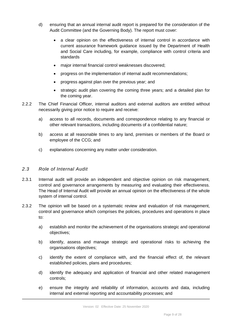- d) ensuring that an annual internal audit report is prepared for the consideration of the Audit Committee (and the Governing Body). The report must cover:
	- a clear opinion on the effectiveness of internal control in accordance with current assurance framework guidance issued by the Department of Health and Social Care including, for example, compliance with control criteria and standards
	- major internal financial control weaknesses discovered;
	- progress on the implementation of internal audit recommendations;
	- progress against plan over the previous year; and
	- strategic audit plan covering the coming three years; and a detailed plan for the coming year.
- 2.2.2 The Chief Financial Officer, internal auditors and external auditors are entitled without necessarily giving prior notice to require and receive:
	- a) access to all records, documents and correspondence relating to any financial or other relevant transactions, including documents of a confidential nature;
	- b) access at all reasonable times to any land, premises or members of the Board or employee of the CCG; and
	- c) explanations concerning any matter under consideration.

#### <span id="page-8-0"></span>*2.3 Role of Internal Audit*

- 2.3.1 Internal audit will provide an independent and objective opinion on risk management, control and governance arrangements by measuring and evaluating their effectiveness. The Head of Internal Audit will provide an annual opinion on the effectiveness of the whole system of internal control.
- 2.3.2 The opinion will be based on a systematic review and evaluation of risk management, control and governance which comprises the policies, procedures and operations in place to:
	- a) establish and monitor the achievement of the organisations strategic and operational objectives;
	- b) identify, assess and manage strategic and operational risks to achieving the organisations objectives;
	- c) identify the extent of compliance with, and the financial effect of, the relevant established policies, plans and procedures;
	- d) identify the adequacy and application of financial and other related management controls;
	- e) ensure the integrity and reliability of information, accounts and data, including internal and external reporting and accountability processes; and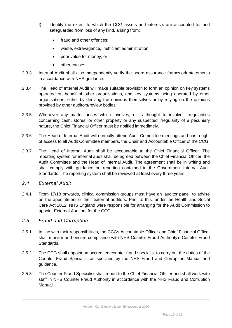- f) identify the extent to which the CCG assets and interests are accounted for and safeguarded from loss of any kind, arising from:
	- fraud and other offences;
	- waste, extravagance, inefficient administration;
	- poor value for money; or
	- other causes.
- 2.3.3 Internal Audit shall also independently verify the board assurance framework statements in accordance with NHS guidance.
- 2.3.4 The Head of Internal Audit will make suitable provision to form an opinion on key systems operated on behalf of other organisations, and key systems being operated by other organisations, either by deriving the opinions themselves or by relying on the opinions provided by other auditors/review bodies.
- 2.3.5 Whenever any matter arises which involves, or is thought to involve, irregularities concerning cash, stores, or other property or any suspected irregularity of a pecuniary nature, the Chief Financial Officer must be notified immediately.
- 2.3.6 The Head of Internal Audit will normally attend Audit Committee meetings and has a right of access to all Audit Committee members, the Chair and Accountable Officer of the CCG.
- 2.3.7 The Head of Internal Audit shall be accountable to the Chief Financial Officer. The reporting system for internal audit shall be agreed between the Chief Financial Officer, the Audit Committee and the Head of Internal Audit. The agreement shall be in writing and shall comply with guidance on reporting contained in the Government Internal Audit Standards. The reporting system shall be reviewed at least every three years.

#### <span id="page-9-0"></span>*2.4 External Audit*

- 2.4.1 From 17/18 onwards, clinical commission groups must have an 'auditor panel' to advise on the appointment of their external auditors. Prior to this, under the Health and Social Care Act 2012, NHS England were responsible for arranging for the Audit Commission to appoint External Auditors for the CCG.
- <span id="page-9-1"></span>*2.5 Fraud and Corruption*
- 2.5.1 In line with their responsibilities, the CCGs Accountable Officer and Chief Financial Officer shall monitor and ensure compliance with NHS Counter Fraud Authority's Counter Fraud Standards.
- 2.5.2 The CCG shall appoint an accredited counter fraud specialist to carry out the duties of the Counter Fraud Specialist as specified by the NHS Fraud and Corruption Manual and guidance.
- 2.5.3 The Counter Fraud Specialist shall report to the Chief Financial Officer and shall work with staff in NHS Counter Fraud Authority in accordance with the NHS Fraud and Corruption Manual.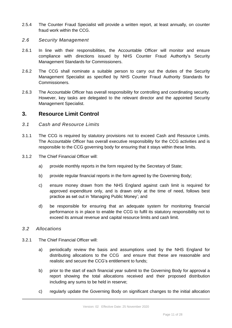2.5.4 The Counter Fraud Specialist will provide a written report, at least annually, on counter fraud work within the CCG.

#### <span id="page-10-0"></span>*2.6 Security Management*

- 2.6.1 In line with their responsibilities, the Accountable Officer will monitor and ensure compliance with directions issued by NHS Counter Fraud Authority's Security Management Standards for Commissioners.
- 2.6.2 The CCG shall nominate a suitable person to carry out the duties of the Security Management Specialist as specified by NHS Counter Fraud Authority Standards for Commissioners.
- 2.6.3 The Accountable Officer has overall responsibility for controlling and coordinating security. However, key tasks are delegated to the relevant director and the appointed Security Management Specialist.

## <span id="page-10-1"></span>**3. Resource Limit Control**

- <span id="page-10-2"></span>*3.1 Cash and Resource Limits*
- 3.1.1 The CCG is required by statutory provisions not to exceed Cash and Resource Limits. The Accountable Officer has overall executive responsibility for the CCG activities and is responsible to the CCG governing body for ensuring that it stays within these limits.
- 3.1.2 The Chief Financial Officer will:
	- a) provide monthly reports in the form required by the Secretary of State;
	- b) provide regular financial reports in the form agreed by the Governing Body;
	- c) ensure money drawn from the NHS England against cash limit is required for approved expenditure only, and is drawn only at the time of need, follows best practice as set out in 'Managing Public Money'; and
	- d) be responsible for ensuring that an adequate system for monitoring financial performance is in place to enable the CCG to fulfil its statutory responsibility not to exceed its annual revenue and capital resource limits and cash limit.

#### <span id="page-10-3"></span>*3.2 Allocations*

- 3.2.1 The Chief Financial Officer will:
	- a) periodically review the basis and assumptions used by the NHS England for distributing allocations to the CCG and ensure that these are reasonable and realistic and secure the CCG's entitlement to funds;
	- b) prior to the start of each financial year submit to the Governing Body for approval a report showing the total allocations received and their proposed distribution including any sums to be held in reserve;
	- c) regularly update the Governing Body on significant changes to the initial allocation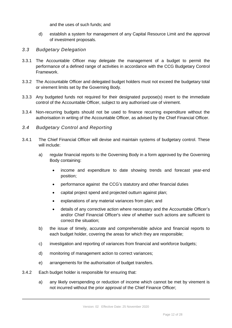and the uses of such funds; and

- d) establish a system for management of any Capital Resource Limit and the approval of investment proposals.
- <span id="page-11-0"></span>*3.3 Budgetary Delegation*
- 3.3.1 The Accountable Officer may delegate the management of a budget to permit the performance of a defined range of activities in accordance with the CCG Budgetary Control Framework.
- 3.3.2 The Accountable Officer and delegated budget holders must not exceed the budgetary total or virement limits set by the Governing Body.
- 3.3.3 Any budgeted funds not required for their designated purpose(s) revert to the immediate control of the Accountable Officer, subject to any authorised use of virement.
- 3.3.4 Non-recurring budgets should not be used to finance recurring expenditure without the authorisation in writing of the Accountable Officer, as advised by the Chief Financial Officer.
- <span id="page-11-1"></span>*3.4 Budgetary Control and Reporting*
- 3.4.1 The Chief Financial Officer will devise and maintain systems of budgetary control. These will include:
	- a) regular financial reports to the Governing Body in a form approved by the Governing Body containing:
		- income and expenditure to date showing trends and forecast year-end position;
		- performance against the CCG's statutory and other financial duties
		- capital project spend and projected outturn against plan;
		- explanations of any material variances from plan; and
		- details of any corrective action where necessary and the Accountable Officer's and/or Chief Financial Officer's view of whether such actions are sufficient to correct the situation;
	- b) the issue of timely, accurate and comprehensible advice and financial reports to each budget holder, covering the areas for which they are responsible;
	- c) investigation and reporting of variances from financial and workforce budgets;
	- d) monitoring of management action to correct variances;
	- e) arrangements for the authorisation of budget transfers.
- 3.4.2 Each budget holder is responsible for ensuring that:
	- a) any likely overspending or reduction of income which cannot be met by virement is not incurred without the prior approval of the Chief Finance Officer;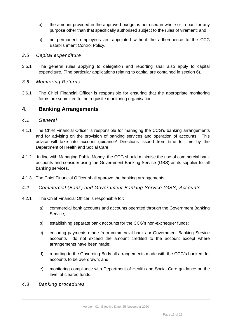- b) the amount provided in the approved budget is not used in whole or in part for any purpose other than that specifically authorised subject to the rules of virement; and
- c) no permanent employees are appointed without the adherehence to the CCG Establishment Control Policy.

#### <span id="page-12-0"></span>*3.5 Capital expenditure*

3.5.1 The general rules applying to delegation and reporting shall also apply to capital expenditure. (The particular applications relating to capital are contained in section 6).

### <span id="page-12-1"></span>*3.6 Monitoring Returns*

3.6.1 The Chief Financial Officer is responsible for ensuring that the appropriate monitoring forms are submitted to the requisite monitoring organisation.

## <span id="page-12-2"></span>**4. Banking Arrangements**

#### <span id="page-12-3"></span>*4.1 General*

- 4.1.1 The Chief Financial Officer is responsible for managing the CCG's banking arrangements and for advising on the provision of banking services and operation of accounts. This advice will take into account guidance/ Directions issued from time to time by the Department of Health and Social Care.
- 4.1.2 In line with Managing Public Money, the CCG should minimise the use of commercial bank accounts and consider using the Government Banking Service (GBS) as its supplier for all banking services.
- 4.1.3 The Chief Financial Officer shall approve the banking arrangements.
- <span id="page-12-4"></span>*4.2 Commercial (Bank) and Government Banking Service (GBS) Accounts*
- 4.2.1 The Chief Financial Officer is responsible for:
	- a) commercial bank accounts and accounts operated through the Government Banking Service;
	- b) establishing separate bank accounts for the CCG's non-exchequer funds;
	- c) ensuring payments made from commercial banks or Government Banking Service accounts do not exceed the amount credited to the account except where arrangements have been made;
	- d) reporting to the Governing Body all arrangements made with the CCG's bankers for accounts to be overdrawn; and
	- e) monitoring compliance with Department of Health and Social Care guidance on the level of cleared funds.
- <span id="page-12-5"></span>*4.3 Banking procedures*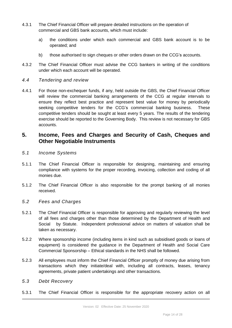- 4.3.1 The Chief Financial Officer will prepare detailed instructions on the operation of commercial and GBS bank accounts, which must include:
	- a) the conditions under which each commercial and GBS bank account is to be operated; and
	- b) those authorised to sign cheques or other orders drawn on the CCG's accounts.
- 4.3.2 The Chief Financial Officer must advise the CCG bankers in writing of the conditions under which each account will be operated.
- <span id="page-13-0"></span>*4.4 Tendering and review*
- 4.4.1 For those non-exchequer funds, if any, held outside the GBS, the Chief Financial Officer will review the commercial banking arrangements of the CCG at regular intervals to ensure they reflect best practice and represent best value for money by periodically seeking competitive tenders for the CCG's commercial banking business. These competitive tenders should be sought at least every 5 years. The results of the tendering exercise should be reported to the Governing Body. This review is not necessary for GBS accounts.

## <span id="page-13-1"></span>**5. Income, Fees and Charges and Security of Cash, Cheques and Other Negotiable Instruments**

- <span id="page-13-2"></span>*5.1 Income Systems*
- 5.1.1 The Chief Financial Officer is responsible for designing, maintaining and ensuring compliance with systems for the proper recording, invoicing, collection and coding of all monies due.
- 5.1.2 The Chief Financial Officer is also responsible for the prompt banking of all monies received.
- <span id="page-13-3"></span>*5.2 Fees and Charges*
- 5.2.1 The Chief Financial Officer is responsible for approving and regularly reviewing the level of all fees and charges other than those determined by the Department of Health and Social by Statute. Independent professional advice on matters of valuation shall be taken as necessary.
- 5.2.2 Where sponsorship income (including items in kind such as subsidised goods or loans of equipment) is considered the guidance in the Department of Health and Social Care Commercial Sponsorship – Ethical standards in the NHS shall be followed.
- 5.2.3 All employees must inform the Chief Financial Officer promptly of money due arising from transactions which they initiate/deal with, including all contracts, leases, tenancy agreements, private patient undertakings and other transactions.
- <span id="page-13-4"></span>*5.3 Debt Recovery*
- 5.3.1 The Chief Financial Officer is responsible for the appropriate recovery action on all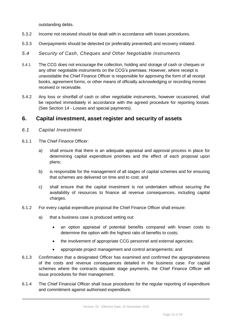outstanding debts.

- 5.3.2 Income not received should be dealt with in accordance with losses procedures.
- 5.3.3 Overpayments should be detected (or preferably prevented) and recovery initiated.
- <span id="page-14-0"></span>*5.4 Security of Cash, Cheques and Other Negotiable Instruments*
- 5.4.1 The CCG does not encourage the collection, holding and storage of cash or cheques or any other negotiable instruments on the CCG's premises. However, where receipt is unavoidable the Chief Finance Officer is responsible for approving the form of all receipt books, agreement forms, or other means of officially acknowledging or recording monies received or receivable.
- 5.4.2 Any loss or shortfall of cash or other negotiable instruments, however occasioned, shall be reported immediately in accordance with the agreed procedure for reporting losses. (See Section 14 - Losses and special payments).

## <span id="page-14-1"></span>**6. Capital investment, asset register and security of assets**

- <span id="page-14-2"></span>*6.1 Capital Investment*
- 6.1.1 The Chief Finance Officer:
	- a) shall ensure that there is an adequate appraisal and approval process in place for determining capital expenditure priorities and the effect of each proposal upon plans;
	- b) is responsible for the management of all stages of capital schemes and for ensuring that schemes are delivered on time and to cost; and
	- c) shall ensure that the capital investment is not undertaken without securing the availability of resources to finance all revenue consequences, including capital charges.
- 6.1.2 For every capital expenditure proposal the Chief Finance Officer shall ensure:
	- a) that a business case is produced setting out:
		- an option appraisal of potential benefits compared with known costs to determine the option with the highest ratio of benefits to costs;
		- the involvement of appropriate CCG personnel and external agencies:
		- appropriate project management and control arrangements; and
- 6.1.3 Confirmation that a designated Officer has examined and confirmed the appropriateness of the costs and revenue consequences detailed in the business case. For capital schemes where the contracts stipulate stage payments, the Chief Finance Officer will issue procedures for their management.
- 6.1.4 The Chief Financial Officer shall issue procedures for the regular reporting of expenditure and commitment against authorised expenditure.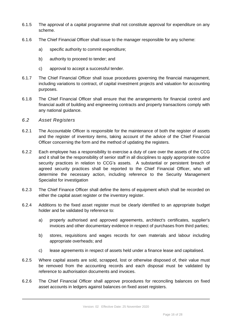- 6.1.5 The approval of a capital programme shall not constitute approval for expenditure on any scheme.
- 6.1.6 The Chief Financial Officer shall issue to the manager responsible for any scheme:
	- a) specific authority to commit expenditure;
	- b) authority to proceed to tender; and
	- c) approval to accept a successful tender.
- 6.1.7 The Chief Financial Officer shall issue procedures governing the financial management, including variations to contract, of capital investment projects and valuation for accounting purposes.
- 6.1.8 The Chief Financial Officer shall ensure that the arrangements for financial control and financial audit of building and engineering contracts and property transactions comply with any national guidance.
- <span id="page-15-0"></span>*6.2 Asset Registers*
- 6.2.1 The Accountable Officer is responsible for the maintenance of both the register of assets and the register of inventory items, taking account of the advice of the Chief Financial Officer concerning the form and the method of updating the registers.
- 6.2.2 Each employee has a responsibility to exercise a duty of care over the assets of the CCG and it shall be the responsibility of senior staff in all disciplines to apply appropriate routine security practices in relation to CCG's assets. A substantial or persistent breach of agreed security practices shall be reported to the Chief Financial Officer, who will determine the necessary action, including reference to the Security Management Specialist for investigation
- 6.2.3 The Chief Finance Officer shall define the items of equipment which shall be recorded on either the capital asset register or the inventory register.
- 6.2.4 Additions to the fixed asset register must be clearly identified to an appropriate budget holder and be validated by reference to:
	- a) properly authorised and approved agreements, architect's certificates, supplier's invoices and other documentary evidence in respect of purchases from third parties;
	- b) stores, requisitions and wages records for own materials and labour including appropriate overheads; and
	- c) lease agreements in respect of assets held under a finance lease and capitalised.
- 6.2.5 Where capital assets are sold, scrapped, lost or otherwise disposed of, their value must be removed from the accounting records and each disposal must be validated by reference to authorisation documents and invoices.
- 6.2.6 The Chief Financial Officer shall approve procedures for reconciling balances on fixed asset accounts in ledgers against balances on fixed asset registers.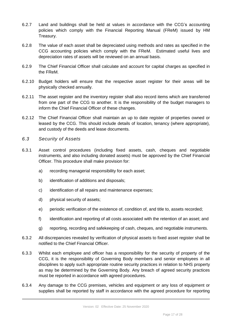- 6.2.7 Land and buildings shall be held at values in accordance with the CCG's accounting policies which comply with the Financial Reporting Manual (FReM) issued by HM Treasury.
- 6.2.8 The value of each asset shall be depreciated using methods and rates as specified in the CCG accounting policies which comply with the FReM. Estimated useful lives and depreciation rates of assets will be reviewed on an annual basis.
- 6.2.9 The Chief Financial Officer shall calculate and account for capital charges as specified in the FReM.
- 6.2.10 Budget holders will ensure that the respective asset register for their areas will be physically checked annually.
- 6.2.11 The asset register and the inventory register shall also record items which are transferred from one part of the CCG to another. It is the responsibility of the budget managers to inform the Chief Financial Officer of these changes.
- 6.2.12 The Chief Financial Officer shall maintain an up to date register of properties owned or leased by the CCG. This should include details of location, tenancy (where appropriate), and custody of the deeds and lease documents.
- <span id="page-16-0"></span>*6.3 Security of Assets*
- 6.3.1 Asset control procedures (including fixed assets, cash, cheques and negotiable instruments, and also including donated assets) must be approved by the Chief Financial Officer. This procedure shall make provision for:
	- a) recording managerial responsibility for each asset;
	- b) identification of additions and disposals;
	- c) identification of all repairs and maintenance expenses;
	- d) physical security of assets;
	- e) periodic verification of the existence of, condition of, and title to, assets recorded;
	- f) identification and reporting of all costs associated with the retention of an asset; and
	- g) reporting, recording and safekeeping of cash, cheques, and negotiable instruments.
- 6.3.2 All discrepancies revealed by verification of physical assets to fixed asset register shall be notified to the Chief Financial Officer.
- 6.3.3 Whilst each employee and officer has a responsibility for the security of property of the CCG, it is the responsibility of Governing Body members and senior employees in all disciplines to apply such appropriate routine security practices in relation to NHS property as may be determined by the Governing Body. Any breach of agreed security practices must be reported in accordance with agreed procedures.
- 6.3.4 Any damage to the CCG premises, vehicles and equipment or any loss of equipment or supplies shall be reported by staff in accordance with the agreed procedure for reporting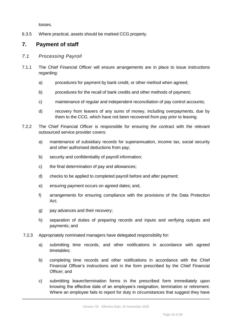losses.

6.3.5 Where practical, assets should be marked CCG property.

# <span id="page-17-0"></span>**7. Payment of staff**

- <span id="page-17-1"></span>*7.1 Processing Payroll*
- 7.1.1 The Chief Financial Officer will ensure arrangements are in place to issue instructions regarding:
	- a) procedures for payment by bank credit, or other method when agreed;
	- b) procedures for the recall of bank credits and other methods of payment;
	- c) maintenance of regular and independent reconciliation of pay control accounts;
	- d) recovery from leavers of any sums of money, including overpayments, due by them to the CCG, which have not been recovered from pay prior to leaving.
- 7.2.2 The Chief Financial Officer is responsible for ensuring the contract with the relevant outsourced service provider covers:
	- a) maintenance of subsidiary records for superannuation, income tax, social security and other authorised deductions from pay;
	- b) security and confidentiality of payroll information;
	- c) the final determination of pay and allowances;
	- d) checks to be applied to completed payroll before and after payment;
	- e) ensuring payment occurs on agreed dates; and,
	- f) arrangements for ensuring compliance with the provisions of the Data Protection Act;
	- g) pay advances and their recovery;
	- h) separation of duties of preparing records and inputs and verifying outputs and payments; and
- 7.2.3 Appropriately nominated managers have delegated responsibility for:
	- a) submitting time records, and other notifications in accordance with agreed timetables;
	- b) completing time records and other notifications in accordance with the Chief Financial Officer's instructions and in the form prescribed by the Chief Financial Officer; and
	- c) submitting leaver/termination forms in the prescribed form immediately upon knowing the effective date of an employee's resignation, termination or retirement. Where an employee fails to report for duty in circumstances that suggest they have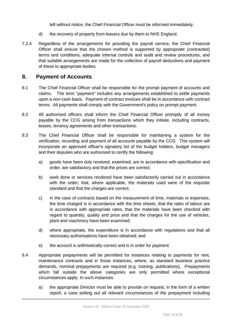left without notice, the Chief Financial Officer must be informed immediately.

- d) the recovery of property from leavers due by them to NHS England.
- 7.2.4 Regardless of the arrangements for providing the payroll service, the Chief Financial Officer shall ensure that the chosen method is supported by appropriate (contracted) terms and conditions, adequate internal controls and audit and review procedures, and that suitable arrangements are made for the collection of payroll deductions and payment of these to appropriate bodies.

## <span id="page-18-0"></span>**8. Payment of Accounts**

- 8.1 The Chief Financial Officer shall be responsible for the prompt payment of accounts and claims. The term "payment" includes any arrangements established to settle payments upon a non-cash basis. Payment of contract invoices shall be in accordance with contract terms. All payments shall comply with the Government's policy on prompt payment.
- 8.2 All authorised officers shall inform the Chief Financial Officer promptly of all money payable by the CCG arising from transactions which they initiate, including contracts, leases, tenancy agreements and other transactions.
- 8.3 The Chief Financial Officer shall be responsible for maintaining a system for the verification, recording and payment of all accounts payable by the CCG. This system will incorporate an approved officer's signatory list of the budget holders, budget managers and their deputies who are authorised to certify the following:
	- a) goods have been duly received, examined, are in accordance with specification and order, are satisfactory and that the prices are correct;
	- b) work done or services rendered have been satisfactorily carried out in accordance with the order; that, where applicable, the materials used were of the requisite standard and that the charges are correct;
	- c) in the case of contracts based on the measurement of time, materials or expenses, the time charged is in accordance with the time sheets, that the rates of labour are in accordance with appropriate rates, that the materials have been checked with regard to quantity, quality and price and that the charges for the use of vehicles, plant and machinery have been examined;
	- d) where appropriate, the expenditure is in accordance with regulations and that all necessary authorisations have been obtained; and
	- e) the account is arithmetically correct and is in order for payment.
- 8.4 Appropriate prepayments will be permitted for instances relating to payments for rent, maintenance contracts and in those instances, where, as standard business practice demands, nominal prepayments are required (e.g. training, publications). Prepayments which fall outside the above categories are only permitted where exceptional circumstances apply. In such instances:
	- a) the appropriate Director must be able to provide on request, in the form of a written report, a case setting out all relevant circumstances of the prepayment including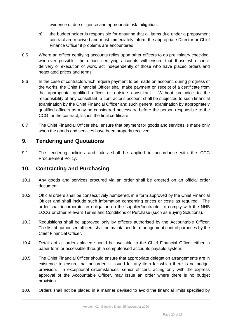evidence of due diligence and appropriate risk mitigation.

- b) the budget holder is responsible for ensuring that all items due under a prepayment contract are received and must immediately inform the appropriate Director or Chief Finance Officer if problems are encountered.
- 8.5 Where an officer certifying accounts relies upon other officers to do preliminary checking, wherever possible, the officer certifying accounts will ensure that those who check delivery or execution of work, act independently of those who have placed orders and negotiated prices and terms.
- 8.6 In the case of contracts which require payment to be made on account, during progress of the works, the Chief Financial Officer shall make payment on receipt of a certificate from the appropriate qualified officer or outside consultant. Without prejudice to the responsibility of any consultant, a contractor's account shall be subjected to such financial examination by the Chief Financial Officer and such general examination by appropriately qualified officers as may be considered necessary, before the person responsible to the CCG for the contract, issues the final certificate.
- 8.7 The Chief Financial Officer shall ensure that payment for goods and services is made only when the goods and services have been properly received.

## <span id="page-19-0"></span>**9. Tendering and Quotations**

9.1 The tendering policies and rules shall be applied in accordance with the CCG Procurement Policy.

# <span id="page-19-1"></span>**10. Contracting and Purchasing**

- 10.1 Any goods and services procured via an order shall be ordered on an official order document.
- 10.2 Official orders shall be consecutively numbered, in a form approved by the Chief Financial Officer and shall include such information concerning prices or costs as required. The order shall incorporate an obligation on the supplier/contractor to comply with the NHS LCCG or other relevant Terms and Conditions of Purchase (such as Buying Solutions).
- 10.3 Requisitions shall be approved only by officers authorised by the Accountable Officer. The list of authorised officers shall be maintained for management control purposes by the Chief Financial Officer.
- 10.4 Details of all orders placed should be available to the Chief Financial Officer either in paper form or accessible through a computerised accounts payable system.
- 10.5 The Chief Financial Officer should ensure that appropriate delegation arrangements are in existence to ensure that no order is issued for any item for which there is no budget provision. In exceptional circumstances, senior officers, acting only with the express approval of the Accountable Officer, may issue an order where there is no budget provision.
- 10.6 Orders shall not be placed in a manner devised to avoid the financial limits specified by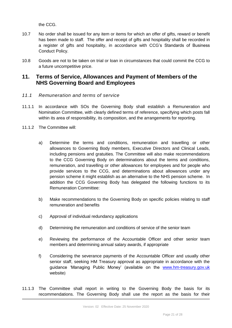the CCG.

- 10.7 No order shall be issued for any item or items for which an offer of gifts, reward or benefit has been made to staff. The offer and receipt of gifts and hospitality shall be recorded in a register of gifts and hospitality, in accordance with CCG's Standards of Business Conduct Policy.
- 10.8 Goods are not to be taken on trial or loan in circumstances that could commit the CCG to a future uncompetitive price.

## <span id="page-20-0"></span>**11. Terms of Service, Allowances and Payment of Members of the NHS Governing Board and Employees**

- <span id="page-20-1"></span>*11.1 Remuneration and terms of service*
- 11.1.1 In accordance with SOs the Governing Body shall establish a Remuneration and Nomination Committee, with clearly defined terms of reference, specifying which posts fall within its area of responsibility, its composition, and the arrangements for reporting.
- 11.1.2 The Committee will:
	- a) Determine the terms and conditions, remuneration and travelling or other allowances to Governing Body members, Executive Directors and Clinical Leads, including pensions and gratuities. The Committee will also make recommendations to the CCG Governing Body on determinations about the terms and conditions, remuneration, and travelling or other allowances for employees and for people who provide services to the CCG, and determinations about allowances under any pension scheme it might establish as an alternative to the NHS pension scheme. In addition the CCG Governing Body has delegated the following functions to its Remuneration Committee:
	- b) Make recommendations to the Governing Body on specific policies relating to staff remuneration and benefits
	- c) Approval of individual redundancy applications
	- d) Determining the remuneration and conditions of service of the senior team
	- e) Reviewing the performance of the Accountable Officer and other senior team members and determining annual salary awards, if appropriate
	- f) Considering the severance payments of the Accountable Officer and usually other senior staff, seeking HM Treasury approval as appropriate in accordance with the guidance 'Managing Public Money' (available on the [www.hm-treasury.gov.uk](http://www.hm-treasury.gov.uk/) website)
- 11.1.3 The Committee shall report in writing to the Governing Body the basis for its recommendations. The Governing Body shall use the report as the basis for their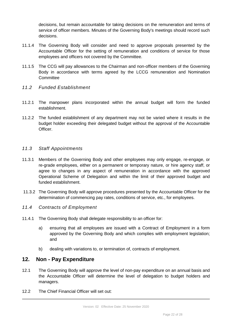decisions, but remain accountable for taking decisions on the remuneration and terms of service of officer members. Minutes of the Governing Body's meetings should record such decisions.

- 11.1.4 The Governing Body will consider and need to approve proposals presented by the Accountable Officer for the setting of remuneration and conditions of service for those employees and officers not covered by the Committee.
- 11.1.5 The CCG will pay allowances to the Chairman and non-officer members of the Governing Body in accordance with terms agreed by the LCCG remuneration and Nomination **Committee**
- <span id="page-21-0"></span>*11.2 Funded Establishment*
- 11.2.1 The manpower plans incorporated within the annual budget will form the funded establishment.
- 11.2.2 The funded establishment of any department may not be varied where it results in the budget holder exceeding their delegated budget without the approval of the Accountable Officer.

#### <span id="page-21-1"></span>*11.3 Staff Appointments*

- 11.3.1 Members of the Governing Body and other employees may only engage, re-engage, or re-grade employees, either on a permanent or temporary nature, or hire agency staff, or agree to changes in any aspect of remuneration in accordance with the approved Operational Scheme of Delegation and within the limit of their approved budget and funded establishment.
- 11.3.2 The Governing Body will approve procedures presented by the Accountable Officer for the determination of commencing pay rates, conditions of service, etc., for employees.
- <span id="page-21-2"></span>*11.4 Contracts of Employment*
- 11.4.1 The Governing Body shall delegate responsibility to an officer for:
	- a) ensuring that all employees are issued with a Contract of Employment in a form approved by the Governing Body and which complies with employment legislation; and
	- b) dealing with variations to, or termination of, contracts of employment.

## <span id="page-21-3"></span>**12. Non - Pay Expenditure**

- 12.1 The Governing Body will approve the level of non-pay expenditure on an annual basis and the Accountable Officer will determine the level of delegation to budget holders and managers.
- 12.2 The Chief Financial Officer will set out: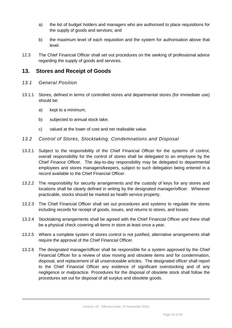- a) the list of budget holders and managers who are authorised to place requisitions for the supply of goods and services; and
- b) the maximum level of each requisition and the system for authorisation above that level.
- 12.3 The Chief Financial Officer shall set out procedures on the seeking of professional advice regarding the supply of goods and services.

## <span id="page-22-0"></span>**13. Stores and Receipt of Goods**

- <span id="page-22-1"></span>*13.1 General Position*
- 13.1.1 Stores, defined in terms of controlled stores and departmental stores (for immediate use) should be:
	- a) kept to a minimum;
	- b) subjected to annual stock take;
	- c) valued at the lower of cost and net realisable value.
- <span id="page-22-2"></span>*13.2 Control of Stores, Stocktaking, Condemnations and Disposal*
- 13.2.1 Subject to the responsibility of the Chief Financial Officer for the systems of control, overall responsibility for the control of stores shall be delegated to an employee by the Chief Finance Officer. The day-to-day responsibility may be delegated to departmental employees and stores managers/keepers, subject to such delegation being entered in a record available to the Chief Financial Officer.
- 13.2.2 The responsibility for security arrangements and the custody of keys for any stores and locations shall be clearly defined in writing by the designated manager/officer. Wherever practicable, stocks should be marked as health service property.
- 13.2.3 The Chief Financial Officer shall set out procedures and systems to regulate the stores including records for receipt of goods, issues, and returns to stores, and losses.
- 13.2.4 Stocktaking arrangements shall be agreed with the Chief Financial Officer and there shall be a physical check covering all items in store at least once a year.
- 13.2.5 Where a complete system of stores control is not justified, alternative arrangements shall require the approval of the Chief Financial Officer.
- 13.2.6 The designated manager/officer shall be responsible for a system approved by the Chief Financial Officer for a review of slow moving and obsolete items and for condemnation, disposal, and replacement of all unserviceable articles. The designated officer shall report to the Chief Financial Officer any evidence of significant overstocking and of any negligence or malpractice. Procedures for the disposal of obsolete stock shall follow the procedures set out for disposal of all surplus and obsolete goods.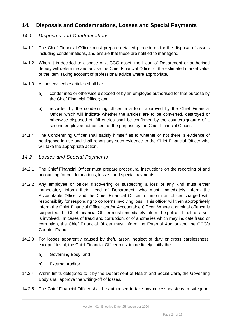# <span id="page-23-0"></span>**14. Disposals and Condemnations, Losses and Special Payments**

### <span id="page-23-1"></span>*14.1 Disposals and Condemnations*

- 14.1.1 The Chief Financial Officer must prepare detailed procedures for the disposal of assets including condemnations, and ensure that these are notified to managers.
- 14.1.2 When it is decided to dispose of a CCG asset, the Head of Department or authorised deputy will determine and advise the Chief Financial Officer of the estimated market value of the item, taking account of professional advice where appropriate.
- 14.1.3 All unserviceable articles shall be:
	- a) condemned or otherwise disposed of by an employee authorised for that purpose by the Chief Financial Officer; and
	- b) recorded by the condemning officer in a form approved by the Chief Financial Officer which will indicate whether the articles are to be converted, destroyed or otherwise disposed of. All entries shall be confirmed by the countersignature of a second employee authorised for the purpose by the Chief Financial Officer.
- 14.1.4 The Condemning Officer shall satisfy himself as to whether or not there is evidence of negligence in use and shall report any such evidence to the Chief Financial Officer who will take the appropriate action.
- <span id="page-23-2"></span>*14.2 Losses and Special Payments*
- 14.2.1 The Chief Financial Officer must prepare procedural instructions on the recording of and accounting for condemnations, losses, and special payments.
- 14.2.2 Any employee or officer discovering or suspecting a loss of any kind must either immediately inform their Head of Department, who must immediately inform the Accountable Officer and the Chief Financial Officer, or inform an officer charged with responsibility for responding to concerns involving loss. This officer will then appropriately inform the Chief Financial Officer and/or Accountable Officer. Where a criminal offence is suspected, the Chief Financial Officer must immediately inform the police, if theft or arson is involved. In cases of fraud and corruption, or of anomalies which may indicate fraud or corruption, the Chief Financial Officer must inform the External Auditor and the CCG's Counter Fraud.
- 14.2.3 For losses apparently caused by theft, arson, neglect of duty or gross carelessness, except if trivial, the Chief Financial Officer must immediately notify the:
	- a) Governing Body; and
	- b) External Auditor.
- 14.2.4 Within limits delegated to it by the Department of Health and Social Care, the Governing Body shall approve the writing-off of losses.
- 14.2.5 The Chief Financial Officer shall be authorised to take any necessary steps to safeguard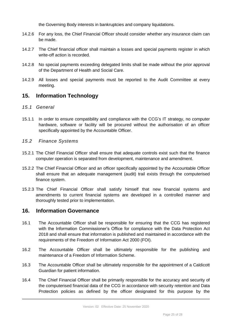the Governing Body interests in bankruptcies and company liquidations.

- 14.2.6 For any loss, the Chief Financial Officer should consider whether any insurance claim can be made.
- 14.2.7 The Chief financial officer shall maintain a losses and special payments register in which write-off action is recorded.
- 14.2.8 No special payments exceeding delegated limits shall be made without the prior approval of the Department of Health and Social Care.
- 14.2.9 All losses and special payments must be reported to the Audit Committee at every meeting.

## <span id="page-24-0"></span>**15. Information Technology**

#### <span id="page-24-1"></span>*15.1 General*

- 15.1.1 In order to ensure compatibility and compliance with the CCG's IT strategy, no computer hardware, software or facility will be procured without the authorisation of an officer specifically appointed by the Accountable Officer.
- <span id="page-24-2"></span>*15.2 Finance Systems*
- 15.2.1 The Chief Financial Officer shall ensure that adequate controls exist such that the finance computer operation is separated from development, maintenance and amendment.
- 15.2.2 The Chief Financial Officer and an officer specifically appointed by the Accountable Officer shall ensure that an adequate management (audit) trail exists through the computerised finance system.
- 15.2.3 The Chief Financial Officer shall satisfy himself that new financial systems and amendments to current financial systems are developed in a controlled manner and thoroughly tested prior to implementation.

## <span id="page-24-3"></span>**16. Information Governance**

- 16.1 The Accountable Officer shall be responsible for ensuring that the CCG has registered with the Information Commissioner's Office for compliance with the Data Protection Act 2018 and shall ensure that information is published and maintained in accordance with the requirements of the Freedom of Information Act 2000 (FOI).
- 16.2 The Accountable Officer shall be ultimately responsible for the publishing and maintenance of a Freedom of Information Scheme.
- 16.3 The Accountable Officer shall be ultimately responsible for the appointment of a Caldicott Guardian for patient information.
- 16.4 The Chief Financial Officer shall be primarily responsible for the accuracy and security of the computerised financial data of the CCG in accordance with security retention and Data Protection policies as defined by the officer designated for this purpose by the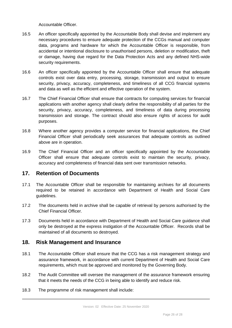Accountable Officer.

- 16.5 An officer specifically appointed by the Accountable Body shall devise and implement any necessary procedures to ensure adequate protection of the CCGs manual and computer data, programs and hardware for which the Accountable Officer is responsible, from accidental or intentional disclosure to unauthorised persons, deletion or modification, theft or damage, having due regard for the Data Protection Acts and any defined NHS-wide security requirements.
- 16.6 An officer specifically appointed by the Accountable Officer shall ensure that adequate controls exist over data entry, processing, storage, transmission and output to ensure security, privacy, accuracy, completeness, and timeliness of all CCG financial systems and data as well as the efficient and effective operation of the system.
- 16.7 The Chief Financial Officer shall ensure that contracts for computing services for financial applications with another agency shall clearly define the responsibility of all parties for the security, privacy, accuracy, completeness, and timeliness of data during processing transmission and storage. The contract should also ensure rights of access for audit purposes.
- 16.8 Where another agency provides a computer service for financial applications, the Chief Financial Officer shall periodically seek assurances that adequate controls as outlined above are in operation.
- 16.9 The Chief Financial Officer and an officer specifically appointed by the Accountable Officer shall ensure that adequate controls exist to maintain the security, privacy, accuracy and completeness of financial data sent over transmission networks.

## <span id="page-25-0"></span>**17. Retention of Documents**

- 17.1 The Accountable Officer shall be responsible for maintaining archives for all documents required to be retained in accordance with Department of Health and Social Care guidelines.
- 17.2 The documents held in archive shall be capable of retrieval by persons authorised by the Chief Financial Officer.
- 17.3 Documents held in accordance with Department of Health and Social Care guidance shall only be destroyed at the express instigation of the Accountable Officer. Records shall be maintained of all documents so destroyed.

## <span id="page-25-1"></span>**18. Risk Management and Insurance**

- 18.1 The Accountable Officer shall ensure that the CCG has a risk management strategy and assurance framework, in accordance with current Department of Health and Social Care requirements, which must be approved and monitored by the Governing Body.
- 18.2 The Audit Committee will oversee the management of the assurance framework ensuring that it meets the needs of the CCG in being able to identify and reduce risk.
- 18.3 The programme of risk management shall include: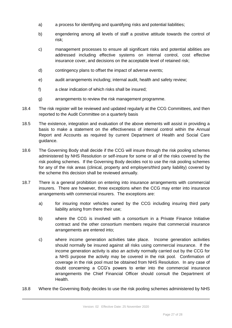- a) a process for identifying and quantifying risks and potential liabilities;
- b) engendering among all levels of staff a positive attitude towards the control of risk;
- c) management processes to ensure all significant risks and potential abilities are addressed including effective systems on internal control, cost effective insurance cover, and decisions on the acceptable level of retained risk;
- d) contingency plans to offset the impact of adverse events;
- e) audit arrangements including; internal audit, health and safety review;
- f) a clear indication of which risks shall be insured;
- g) arrangements to review the risk management programme.
- 18.4 The risk register will be reviewed and updated regularly at the CCG Committees, and then reported to the Audit Committee on a quarterly basis
- 18.5 The existence, integration and evaluation of the above elements will assist in providing a basis to make a statement on the effectiveness of internal control within the Annual Report and Accounts as required by current Department of Health and Social Care guidance.
- 18.6 The Governing Body shall decide if the CCG will insure through the risk pooling schemes administered by NHS Resolution or self-insure for some or all of the risks covered by the risk pooling schemes. If the Governing Body decides not to use the risk pooling schemes for any of the risk areas (clinical, property and employers/third party liability) covered by the scheme this decision shall be reviewed annually.
- 18.7 There is a general prohibition on entering into insurance arrangements with commercial insurers. There are however, three exceptions when the CCG may enter into insurance arrangements with commercial insurers. The exceptions are:
	- a) for insuring motor vehicles owned by the CCG including insuring third party liability arising from there their use;
	- b) where the CCG is involved with a consortium in a Private Finance Initiative contract and the other consortium members require that commercial insurance arrangements are entered into;
	- c) where income generation activities take place. Income generation activities should normally be insured against all risks using commercial insurance. If the income generation activity is also an activity normally carried out by the CCG for a NHS purpose the activity may be covered in the risk pool. Confirmation of coverage in the risk pool must be obtained from NHS Resolution. In any case of doubt concerning a CCG's powers to enter into the commercial insurance arrangements the Chief Financial Officer should consult the Department of **Health**
- 18.8 Where the Governing Body decides to use the risk pooling schemes administered by NHS